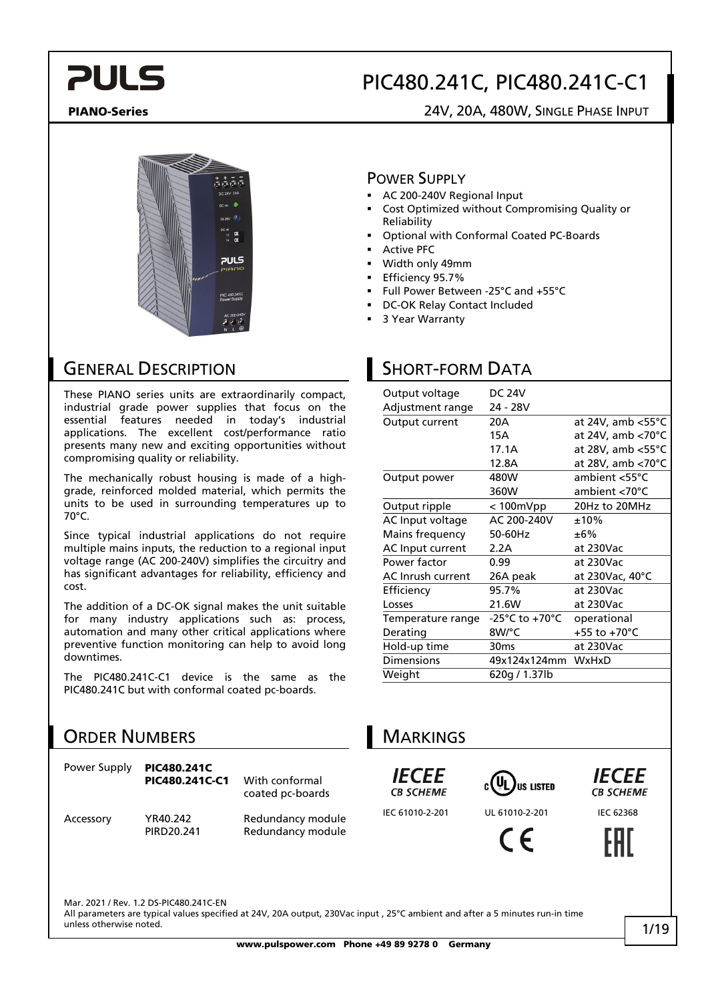## PIC480.241C, PIC480.241C-C1

PIANO-Series 24V, 20A, 480W, SINGLE PHASE INPUT





#### GENERAL DESCRIPTION

These PIANO series units are extraordinarily compact, industrial grade power supplies that focus on the essential features needed in today's industrial applications. The excellent cost/performance ratio presents many new and exciting opportunities without compromising quality or reliability.

The mechanically robust housing is made of a highgrade, reinforced molded material, which permits the units to be used in surrounding temperatures up to 70°C.

Since typical industrial applications do not require multiple mains inputs, the reduction to a regional input voltage range (AC 200-240V) simplifies the circuitry and has significant advantages for reliability, efficiency and cost.

The addition of a DC-OK signal makes the unit suitable for many industry applications such as: process, automation and many other critical applications where preventive function monitoring can help to avoid long downtimes.

The PIC480.241C-C1 device is the same as the PIC480.241C but with conformal coated pc-boards.

#### ORDER NUMBERS

| Power Supply | <b>PIC480.241C</b><br>PIC480.241C-C1 | With conformal<br>coated pc-boards     |
|--------------|--------------------------------------|----------------------------------------|
| Accessory    | YR40.242<br>PIRD <sub>20.241</sub>   | Redundancy module<br>Redundancy module |

#### POWER SUPPLY

- AC 200-240V Regional Input
- Cost Optimized without Compromising Quality or Reliability
- Optional with Conformal Coated PC-Boards
- Active PFC
- Width only 49mm
- Efficiency 95.7%
- Full Power Between -25°C and +55°C
- DC-OK Relay Contact Included
- 3 Year Warranty

### SHORT-FORM DATA

| DC 24V                             |                             |
|------------------------------------|-----------------------------|
|                                    |                             |
|                                    | at 24V, amb $<55^{\circ}$ C |
|                                    | at 24V, amb <70°C           |
| 17.1A                              | at 28V, amb <55°C           |
| 12.8A                              | at 28V, amb <70°C           |
| 480W                               | ambient <55°C               |
| 360W                               | ambient <70°C               |
| < 100mVpp                          | 20Hz to 20MHz               |
| AC 200-240V                        | $±10\%$                     |
| 50-60Hz                            | ±6%                         |
| 2.2A                               | at 230Vac                   |
| 0.99                               | at 230Vac                   |
| 26A peak                           | at 230Vac, 40°C             |
| 95.7%                              | at 230Vac                   |
| 21.6W                              | at 230Vac                   |
| $-25^{\circ}$ C to $+70^{\circ}$ C | operational                 |
| 8W/°C                              | $+55$ to $+70^{\circ}$ C    |
| 30 <sub>ms</sub>                   | at 230Vac                   |
| 49x124x124mm                       | <b>WxHxD</b>                |
| 620g / 1.37lb                      |                             |
|                                    | 24 - 28V<br>20A<br>15A      |

### **MARKINGS**







IEC 61010-2-201 UL 61010-2-201 IEC 62368

 $\epsilon$ 



Mar. 2021 / Rev. 1.2 DS-PIC480.241C-EN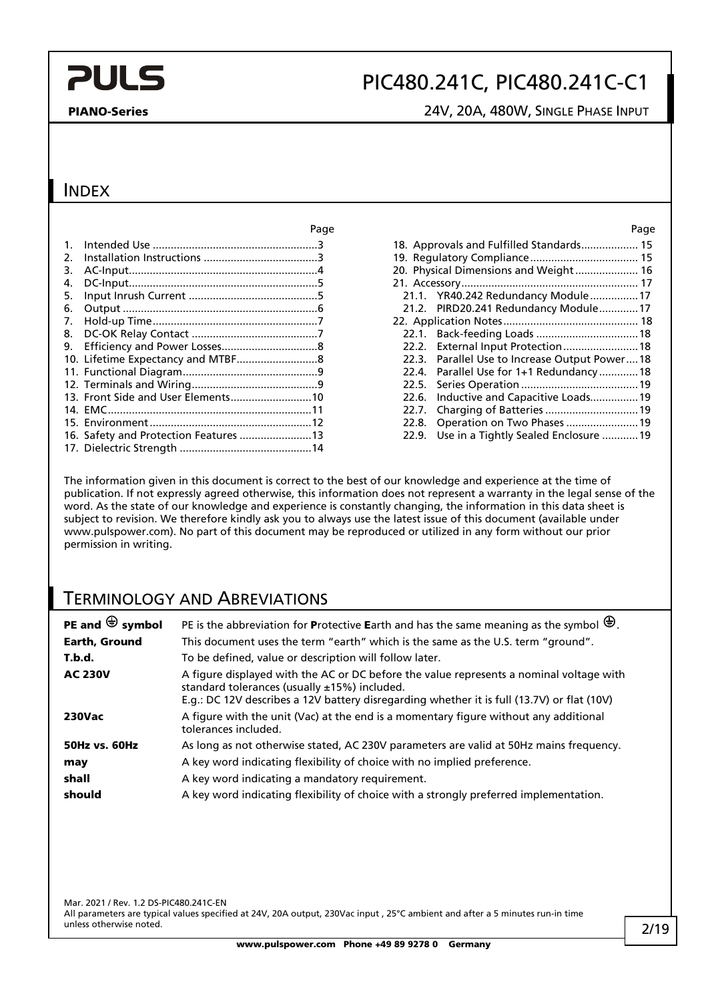### PIC480.241C, PIC480.241C-C1

PIANO-Series 24V, 20A, 480W, SINGLE PHASE INPUT

#### INDEX

|                |                                       | ı av |
|----------------|---------------------------------------|------|
| $\mathbf{1}$ . |                                       |      |
| 2.             |                                       |      |
| 3.             |                                       |      |
| 4.             |                                       |      |
| 5.             |                                       |      |
| 6.             |                                       |      |
| 7.             |                                       |      |
| 8.             |                                       |      |
| 9.             |                                       |      |
|                |                                       |      |
|                |                                       |      |
|                |                                       |      |
|                | 13. Front Side and User Elements10    |      |
|                |                                       |      |
|                |                                       |      |
|                | 16. Safety and Protection Features 13 |      |
|                |                                       |      |

| Page  |                                               | Page |
|-------|-----------------------------------------------|------|
| . 3   | 18. Approvals and Fulfilled Standards 15      |      |
| . . 3 |                                               |      |
| . 4   | 20. Physical Dimensions and Weight 16         |      |
| . 5   |                                               |      |
| . 5   | 21.1. YR40.242 Redundancy Module17            |      |
| . . 6 | 21.2. PIRD20.241 Redundancy Module17          |      |
| . 7   |                                               |      |
| . . 7 |                                               |      |
| . . 8 |                                               |      |
| . . 8 | 22.3. Parallel Use to Increase Output Power18 |      |
| . . 9 | 22.4. Parallel Use for 1+1 Redundancy18       |      |
| . . 9 |                                               |      |
| .10   | 22.6. Inductive and Capacitive Loads19        |      |
| .11   |                                               |      |
| .12   | 22.8. Operation on Two Phases  19             |      |
| .13   | 22.9. Use in a Tightly Sealed Enclosure 19    |      |
|       |                                               |      |

The information given in this document is correct to the best of our knowledge and experience at the time of publication. If not expressly agreed otherwise, this information does not represent a warranty in the legal sense of the word. As the state of our knowledge and experience is constantly changing, the information in this data sheet is subject to revision. We therefore kindly ask you to always use the latest issue of this document (available under www.pulspower.com). No part of this document may be reproduced or utilized in any form without our prior permission in writing.

#### TERMINOLOGY AND ABREVIATIONS

| PE and $\bigoplus$ symbol | PE is the abbreviation for <b>P</b> rotective Earth and has the same meaning as the symbol $\bigoplus$ .                                                                                                                                 |
|---------------------------|------------------------------------------------------------------------------------------------------------------------------------------------------------------------------------------------------------------------------------------|
| Earth, Ground             | This document uses the term "earth" which is the same as the U.S. term "ground".                                                                                                                                                         |
| T.b.d.                    | To be defined, value or description will follow later.                                                                                                                                                                                   |
| <b>AC 230V</b>            | A figure displayed with the AC or DC before the value represents a nominal voltage with<br>standard tolerances (usually $±15%$ ) included.<br>E.g.: DC 12V describes a 12V battery disregarding whether it is full (13.7V) or flat (10V) |
| <b>230Vac</b>             | A figure with the unit (Vac) at the end is a momentary figure without any additional<br>tolerances included.                                                                                                                             |
| <b>50Hz vs. 60Hz</b>      | As long as not otherwise stated, AC 230V parameters are valid at 50Hz mains frequency.                                                                                                                                                   |
| may                       | A key word indicating flexibility of choice with no implied preference.                                                                                                                                                                  |
| shall                     | A key word indicating a mandatory requirement.                                                                                                                                                                                           |
| should                    | A key word indicating flexibility of choice with a strongly preferred implementation.                                                                                                                                                    |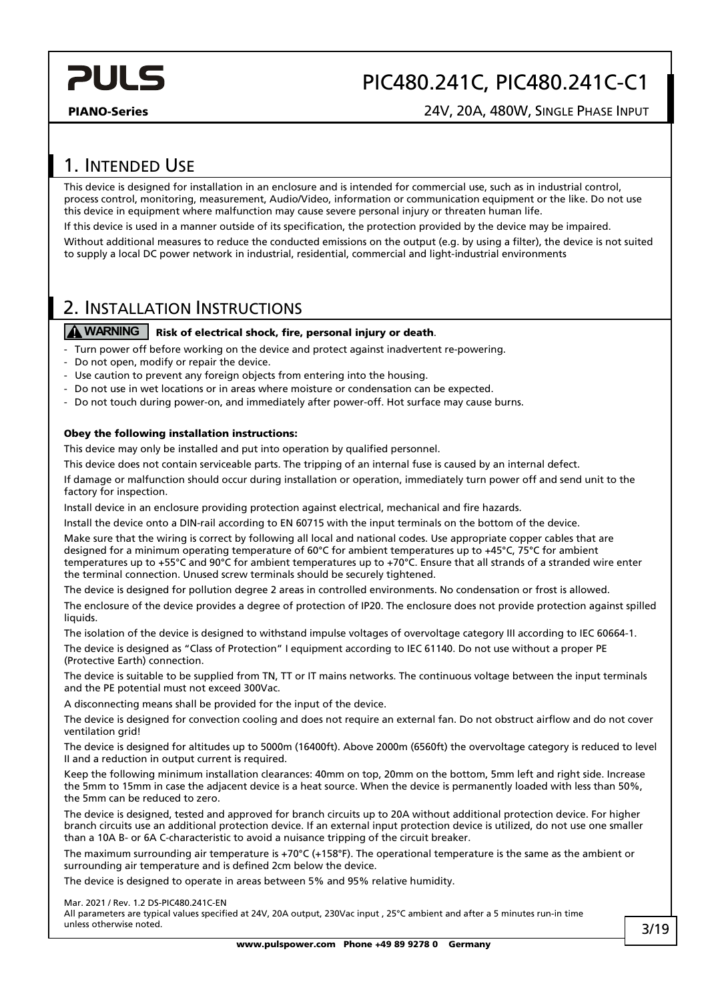## PIC480.241C, PIC480.241C-C1

#### PIANO-Series 24V, 20A, 480W, SINGLE PHASE INPUT

#### <span id="page-2-0"></span>1. INTENDED USE

This device is designed for installation in an enclosure and is intended for commercial use, such as in industrial control, process control, monitoring, measurement, Audio/Video, information or communication equipment or the like. Do not use this device in equipment where malfunction may cause severe personal injury or threaten human life.

If this device is used in a manner outside of its specification, the protection provided by the device may be impaired. Without additional measures to reduce the conducted emissions on the output (e.g. by using a filter), the device is not suited to supply a local DC power network in industrial, residential, commercial and light-industrial environments

#### <span id="page-2-1"></span>2. INSTALLATION INSTRUCTIONS

#### **A** WARNING Risk of electrical shock, fire, personal injury or death.

- Turn power off before working on the device and protect against inadvertent re-powering.
- Do not open, modify or repair the device.
- Use caution to prevent any foreign objects from entering into the housing.
- Do not use in wet locations or in areas where moisture or condensation can be expected.
- Do not touch during power-on, and immediately after power-off. Hot surface may cause burns.

#### Obey the following installation instructions:

This device may only be installed and put into operation by qualified personnel.

This device does not contain serviceable parts. The tripping of an internal fuse is caused by an internal defect.

If damage or malfunction should occur during installation or operation, immediately turn power off and send unit to the factory for inspection.

Install device in an enclosure providing protection against electrical, mechanical and fire hazards.

Install the device onto a DIN-rail according to EN 60715 with the input terminals on the bottom of the device.

Make sure that the wiring is correct by following all local and national codes. Use appropriate copper cables that are designed for a minimum operating temperature of 60°C for ambient temperatures up to +45°C, 75°C for ambient temperatures up to +55°C and 90°C for ambient temperatures up to +70°C. Ensure that all strands of a stranded wire enter the terminal connection. Unused screw terminals should be securely tightened.

The device is designed for pollution degree 2 areas in controlled environments. No condensation or frost is allowed.

The enclosure of the device provides a degree of protection of IP20. The enclosure does not provide protection against spilled liquids.

The isolation of the device is designed to withstand impulse voltages of overvoltage category III according to IEC 60664-1.

The device is designed as "Class of Protection" I equipment according to IEC 61140. Do not use without a proper PE (Protective Earth) connection.

The device is suitable to be supplied from TN, TT or IT mains networks. The continuous voltage between the input terminals and the PE potential must not exceed 300Vac.

A disconnecting means shall be provided for the input of the device.

The device is designed for convection cooling and does not require an external fan. Do not obstruct airflow and do not cover ventilation grid!

The device is designed for altitudes up to 5000m (16400ft). Above 2000m (6560ft) the overvoltage category is reduced to level II and a reduction in output current is required.

Keep the following minimum installation clearances: 40mm on top, 20mm on the bottom, 5mm left and right side. Increase the 5mm to 15mm in case the adjacent device is a heat source. When the device is permanently loaded with less than 50%, the 5mm can be reduced to zero.

The device is designed, tested and approved for branch circuits up to 20A without additional protection device. For higher branch circuits use an additional protection device. If an external input protection device is utilized, do not use one smaller than a 10A B- or 6A C-characteristic to avoid a nuisance tripping of the circuit breaker.

The maximum surrounding air temperature is  $+70^{\circ}$ C (+158°F). The operational temperature is the same as the ambient or surrounding air temperature and is defined 2cm below the device.

The device is designed to operate in areas between 5% and 95% relative humidity.

Mar. 2021 / Rev. 1.2 DS-PIC480.241C-EN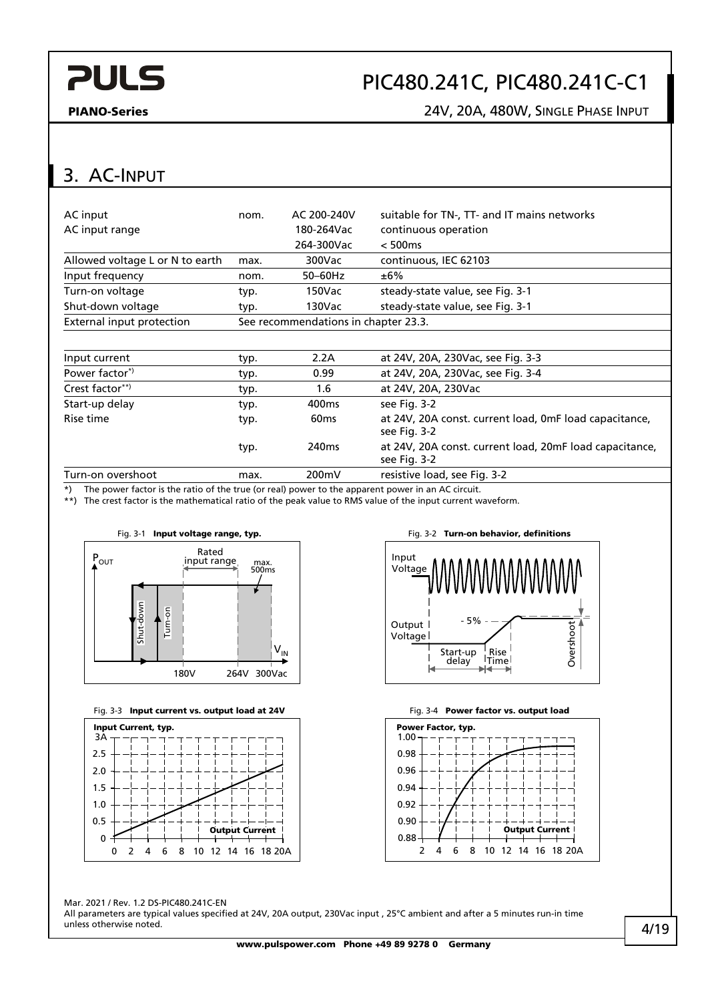## PIC480.241C, PIC480.241C-C1

#### PIANO-Series 24V, 20A, 480W, SINGLE PHASE INPUT

### <span id="page-3-0"></span>3. AC-INPUT

| AC input                        | nom. | AC 200-240V                          | suitable for TN-, TT- and IT mains networks                             |
|---------------------------------|------|--------------------------------------|-------------------------------------------------------------------------|
| AC input range                  |      | 180-264Vac                           | continuous operation                                                    |
|                                 |      | 264-300Vac                           | < 500ms                                                                 |
| Allowed voltage L or N to earth | max. | 300Vac                               | continuous, IEC 62103                                                   |
| Input frequency                 | nom. | 50-60Hz                              | $±6\%$                                                                  |
| Turn-on voltage                 | typ. | 150Vac                               | steady-state value, see Fig. 3-1                                        |
| Shut-down voltage               | typ. | 130Vac                               | steady-state value, see Fig. 3-1                                        |
| External input protection       |      | See recommendations in chapter 23.3. |                                                                         |
|                                 |      |                                      |                                                                         |
| Input current                   | typ. | 2.2A                                 | at 24V, 20A, 230Vac, see Fig. 3-3                                       |
| Power factor <sup>*</sup>       | typ. | 0.99                                 | at 24V, 20A, 230Vac, see Fig. 3-4                                       |
| Crest factor**)                 | typ. | 1.6                                  | at 24V, 20A, 230Vac                                                     |
| Start-up delay                  | typ. | 400 <sub>ms</sub>                    | see Fig. 3-2                                                            |
| Rise time                       | typ. | 60 <sub>ms</sub>                     | at 24V, 20A const. current load, 0mF load capacitance,<br>see Fig. 3-2  |
|                                 | typ. | 240 <sub>ms</sub>                    | at 24V, 20A const. current load, 20mF load capacitance,<br>see Fig. 3-2 |
| Turn-on overshoot               | max. | 200mV                                | resistive load, see Fig. 3-2                                            |

\*) The power factor is the ratio of the true (or real) power to the apparent power in an AC circuit.

\*\*) The crest factor is the mathematical ratio of the peak value to RMS value of the input current waveform.

<span id="page-3-1"></span>

<span id="page-3-2"></span>





<span id="page-3-4"></span>

<span id="page-3-3"></span>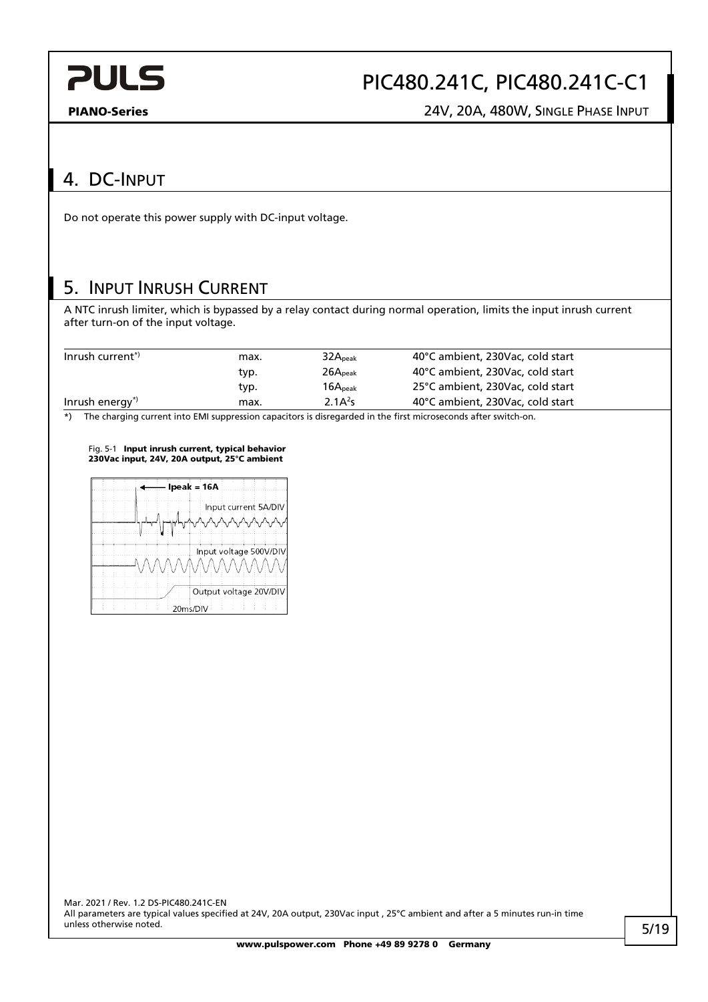

PIANO-Series 24V, 20A, 480W, SINGLE PHASE INPUT

#### <span id="page-4-0"></span>4. DC-INPUT

Do not operate this power supply with DC-input voltage.

#### <span id="page-4-1"></span>5. INPUT INRUSH CURRENT

A NTC inrush limiter, which is bypassed by a relay contact during normal operation, limits the input inrush current after turn-on of the input voltage.

| Inrush current <sup>*</sup> | max. | 32A <sub>peak</sub> | 40°C ambient, 230Vac, cold start |
|-----------------------------|------|---------------------|----------------------------------|
|                             | typ. | $26A_{\text{peak}}$ | 40°C ambient, 230Vac, cold start |
|                             | typ. | $16A_{\text{peak}}$ | 25°C ambient, 230Vac, cold start |
| Inrush energy <sup>*</sup>  | max. | 2.1A <sup>2</sup> S | 40°C ambient, 230Vac, cold start |

 $\dot{\bullet}$ ) The charging current into EMI suppression capacitors is disregarded in the first microseconds after switch-on.

#### Fig. 5-1 Input inrush current, typical behavior 230Vac input, 24V, 20A output, 25°C ambient

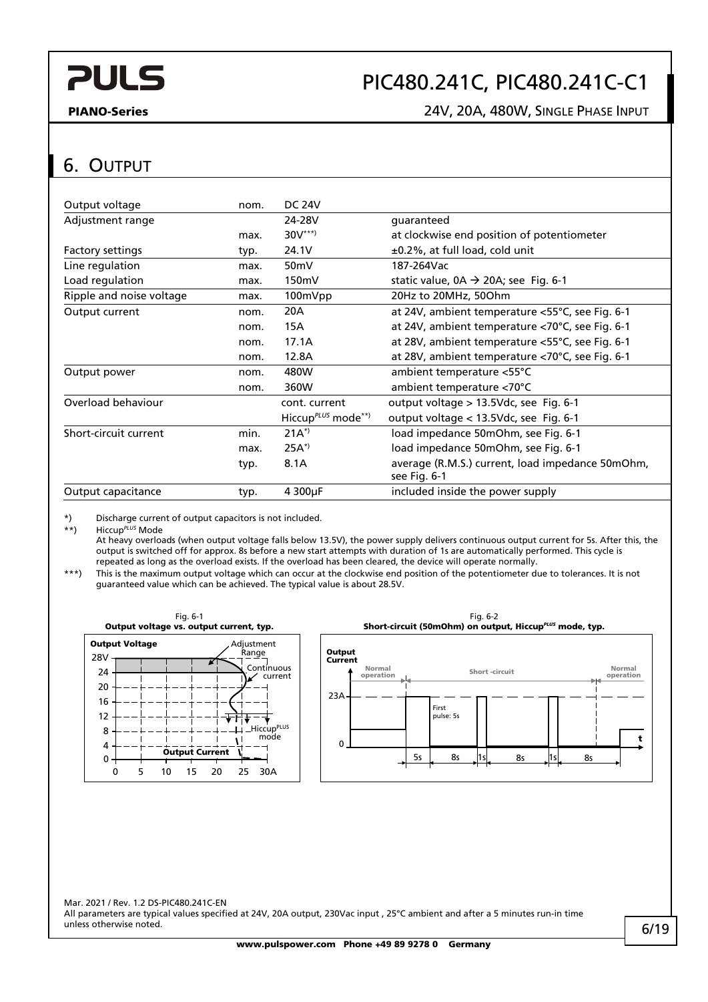## PIC480.241C, PIC480.241C-C1

#### PIANO-Series 24V, 20A, 480W, SINGLE PHASE INPUT

#### <span id="page-5-0"></span>6. OUTPUT

| Output voltage           | nom. | <b>DC 24V</b>                  |                                                   |
|--------------------------|------|--------------------------------|---------------------------------------------------|
| Adjustment range         |      | 24-28V                         | quaranteed                                        |
|                          | max. | $30V^{***}$                    | at clockwise end position of potentiometer        |
| <b>Factory settings</b>  | typ. | 24.1V                          | ±0.2%, at full load, cold unit                    |
| Line regulation          | max. | 50 <sub>m</sub> V              | 187-264Vac                                        |
| Load regulation          | max. | 150mV                          | static value, $0A \rightarrow 20A$ ; see Fig. 6-1 |
| Ripple and noise voltage | max. | 100mVpp                        | 20Hz to 20MHz, 50Ohm                              |
| Output current           | nom. | 20A                            | at 24V, ambient temperature <55°C, see Fig. 6-1   |
|                          | nom. | 15A                            | at 24V, ambient temperature <70°C, see Fig. 6-1   |
|                          | nom. | 17.1A                          | at 28V, ambient temperature <55°C, see Fig. 6-1   |
|                          | nom. | 12.8A                          | at 28V, ambient temperature <70°C, see Fig. 6-1   |
| Output power             | nom. | 480W                           | ambient temperature <55°C                         |
|                          | nom. | 360W                           | ambient temperature <70°C                         |
| Overload behaviour       |      | cont. current                  | output voltage > 13.5Vdc, see Fig. 6-1            |
|                          |      | Hiccup <sup>PLUS</sup> mode**) | output voltage < 13.5Vdc, see Fig. 6-1            |
| Short-circuit current    | min. | $21A^*$                        | load impedance 50mOhm, see Fig. 6-1               |
|                          | max. | $25A^*$                        | load impedance 50mOhm, see Fig. 6-1               |
|                          | typ. | 8.1A                           | average (R.M.S.) current, load impedance 50mOhm,  |
|                          |      |                                | see Fig. 6-1                                      |
| Output capacitance       | typ. | 4 300 <sub>u</sub> F           | included inside the power supply                  |

\*) Discharge current of output capacitors is not included.

\*\*) Hiccup*PLUS* Mode

At heavy overloads (when output voltage falls below 13.5V), the power supply delivers continuous output current for 5s. After this, the output is switched off for approx. 8s before a new start attempts with duration of 1s are automatically performed. This cycle is repeated as long as the overload exists. If the overload has been cleared, the device will operate normally.

\*\*\*) This is the maximum output voltage which can occur at the clockwise end position of the potentiometer due to tolerances. It is not guaranteed value which can be achieved. The typical value is about 28.5V.

<span id="page-5-1"></span>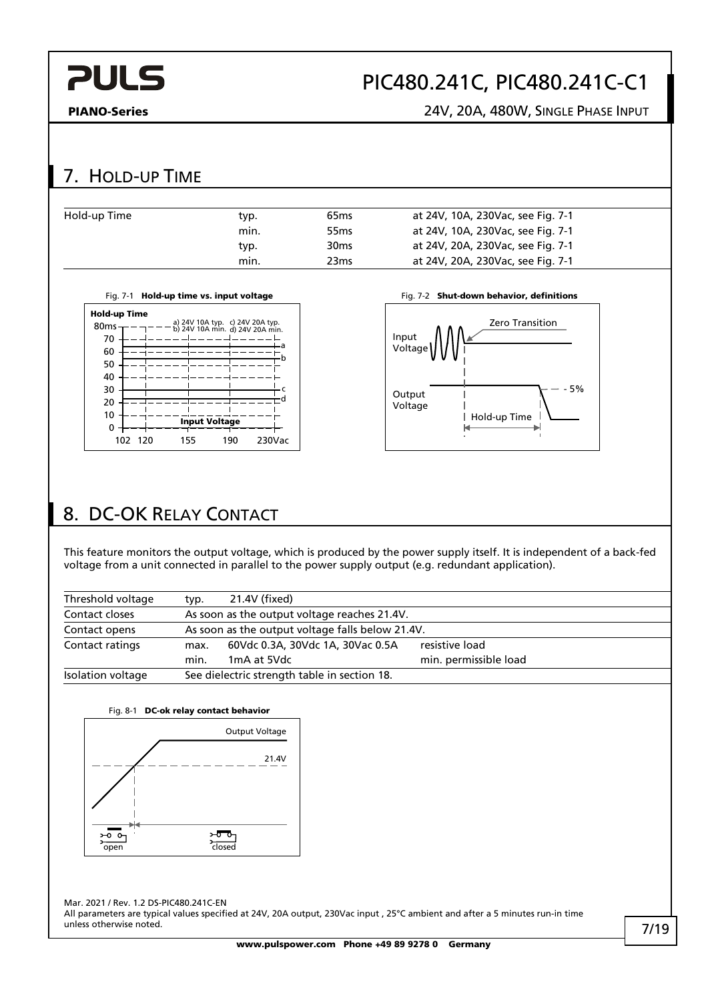## PIC480.241C, PIC480.241C-C1

PIANO-Series 24V, 20A, 480W, SINGLE PHASE INPUT

#### <span id="page-6-2"></span><span id="page-6-1"></span><span id="page-6-0"></span>7. HOLD-UP TIME Hold-up Time typ. 65ms at 24V, 10A, 230Vac, see [Fig. 7-1](#page-6-2) min. 55ms at 24V, 10A, 230Vac, see [Fig. 7-1](#page-6-2) typ. 30ms at 24V, 20A, 230Vac, see [Fig. 7-1](#page-6-2) min. 23ms at 24V, 20A, 230Vac, see [Fig. 7-1](#page-6-2) Fig. 7-1 Hold-up time vs. input voltage Fig. 7-2 Shut-down behavior, definitions Hold-up Time Zero Transition a) 24V 10A typ. b) 24V 10A min. c) 24V 20A typ. d) 24V 20A min. 80ms Input <sup>70</sup> <sup>a</sup> Voltage 60 b 50 40 30 c  $-5%$ **Output** 20 d Voltage 10 Hold-up Time Input Voltage  $\Omega$ 102 120 155 190 230Vac 8. DC-OK RELAY CONTACT This feature monitors the output voltage, which is produced by the power supply itself. It is independent of a back-fed voltage from a unit connected in parallel to the power supply output (e.g. redundant application). Threshold voltage typ. 21.4V (fixed) Contact closes As soon as the output voltage reaches 21.4V. Contact opens As soon as the output voltage falls below 21.4V. Contact ratings max. 60Vdc 0.3A, 30Vdc 1A, 30Vac 0.5A resistive load min. 1mA at 5Vdc min. permissible load Isolation voltage See dielectric strength table in sectio[n 18.](#page-13-0) Fig. 8-1 DC-ok relay contact behavior Output Voltage 21.4V ᠊ᢐ᠊  $\overline{\circ}$   $\circ$ closed**Open** Mar. 2021 / Rev. 1.2 DS-PIC480.241C-EN All parameters are typical values specified at 24V, 20A output, 230Vac input , 25°C ambient and after a 5 minutes run-in time unless otherwise noted. 7/19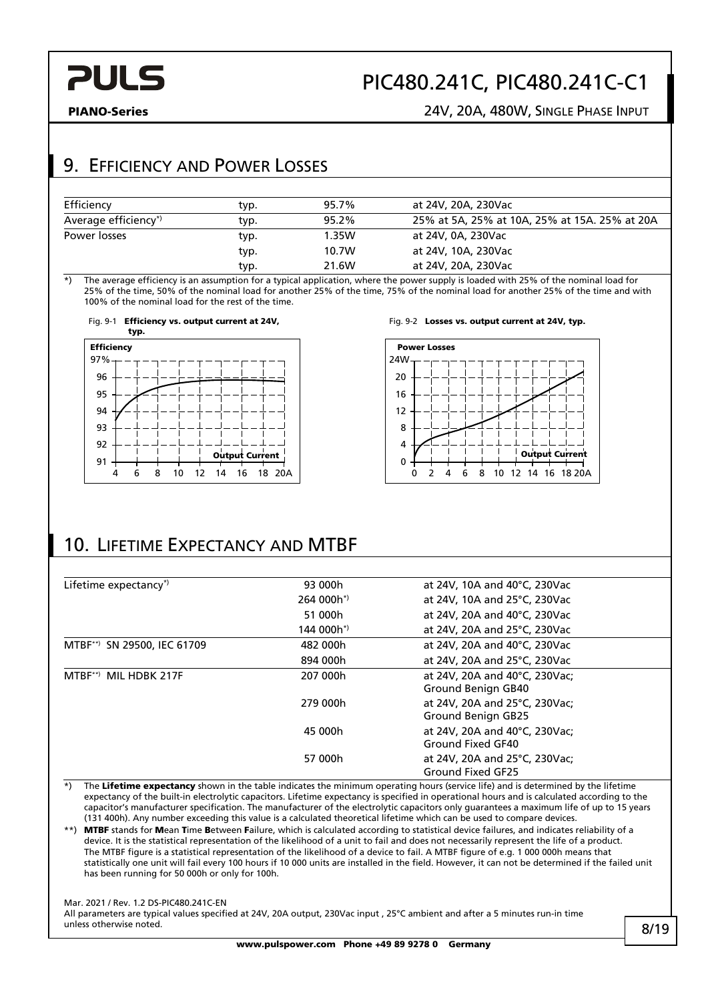**Efficiency** 

4

93

92

91

95 96

94

97%

#### PIANO-Series 24V, 20A, 480W, SINGLE PHASE INPUT

#### <span id="page-7-0"></span>9. EFFICIENCY AND POWER LOSSES

| Efficiency                      | typ. | 95.7% | at 24V, 20A, 230Vac                           |
|---------------------------------|------|-------|-----------------------------------------------|
| Average efficiency <sup>*</sup> | typ. | 95.2% | 25% at 5A, 25% at 10A, 25% at 15A. 25% at 20A |
| Power losses                    | typ. | 1.35W | at 24V, 0A, 230Vac                            |
|                                 | typ. | 10.7W | at 24V, 10A, 230Vac                           |
|                                 | typ. | 21.6W | at 24V, 20A, 230Vac                           |

\*) The average efficiency is an assumption for a typical application, where the power supply is loaded with 25% of the nominal load for 25% of the time, 50% of the nominal load for another 25% of the time, 75% of the nominal load for another 25% of the time and with 100% of the nominal load for the rest of the time.







#### <span id="page-7-1"></span>10. LIFETIME EXPECTANCY AND MTBF

8 12 14 16 20A 6 10 18

Output Current

| Lifetime expectancy*)            | 93 000h     | at 24V, 10A and 40°C, 230Vac                        |  |
|----------------------------------|-------------|-----------------------------------------------------|--|
|                                  | $264000h^*$ | at 24V, 10A and 25°C, 230Vac                        |  |
|                                  | 51 000h     | at 24V, 20A and 40°C, 230Vac                        |  |
|                                  | 144 000h*)  | at 24V, 20A and 25°C, 230Vac                        |  |
| MTBF**) SN 29500, IEC 61709      | 482 000h    | at 24V, 20A and 40°C, 230Vac                        |  |
|                                  | 894 000h    | at 24V, 20A and 25°C, 230Vac                        |  |
| MTRF <sup>**</sup> MIL HDRK 217F | 207 000h    | at 24V, 20A and 40°C, 230Vac:<br>Ground Benign GB40 |  |
|                                  | 279 000h    | at 24V, 20A and 25°C, 230Vac:<br>Ground Benign GB25 |  |
|                                  | 45 000h     | at 24V, 20A and 40°C, 230Vac;<br>Ground Fixed GF40  |  |
|                                  | 57 000h     | at 24V, 20A and 25°C, 230Vac;<br>Ground Fixed GF25  |  |

\*) The Lifetime expectancy shown in the table indicates the minimum operating hours (service life) and is determined by the lifetime expectancy of the built-in electrolytic capacitors. Lifetime expectancy is specified in operational hours and is calculated according to the capacitor's manufacturer specification. The manufacturer of the electrolytic capacitors only guarantees a maximum life of up to 15 years (131 400h). Any number exceeding this value is a calculated theoretical lifetime which can be used to compare devices.

\*\*) MTBF stands for Mean Time Between Failure, which is calculated according to statistical device failures, and indicates reliability of a device. It is the statistical representation of the likelihood of a unit to fail and does not necessarily represent the life of a product. The MTBF figure is a statistical representation of the likelihood of a device to fail. A MTBF figure of e.g. 1 000 000h means that statistically one unit will fail every 100 hours if 10 000 units are installed in the field. However, it can not be determined if the failed unit has been running for 50 000h or only for 100h.

Mar. 2021 / Rev. 1.2 DS-PIC480.241C-EN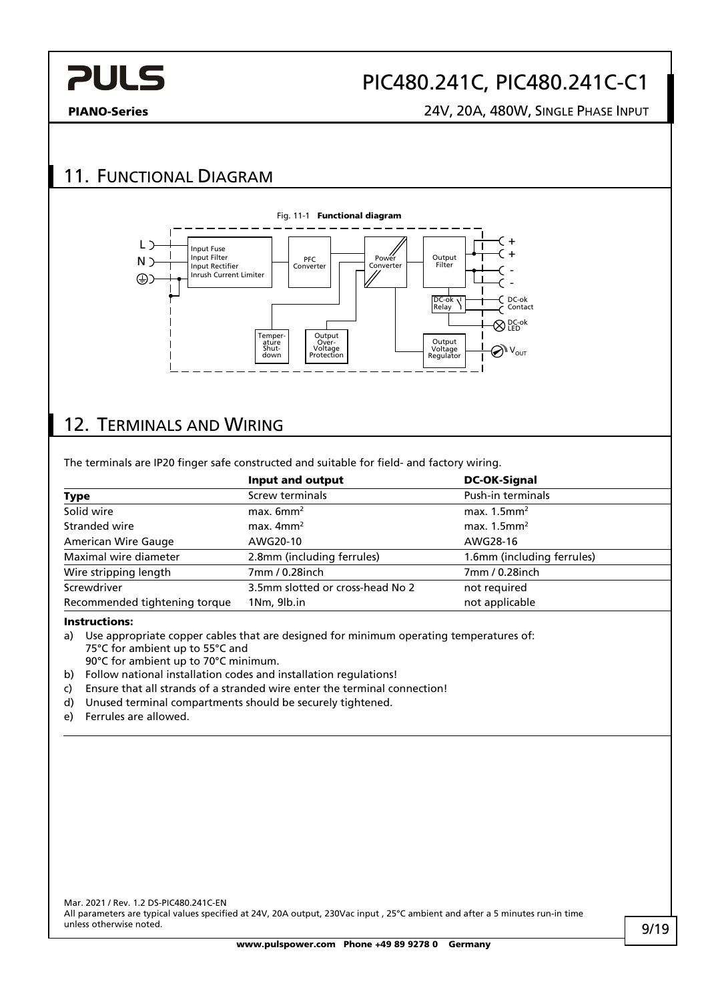## PIC480.241C, PIC480.241C-C1

#### PIANO-Series 24V, 20A, 480W, SINGLE PHASE INPUT

#### <span id="page-8-0"></span>11. FUNCTIONAL DIAGRAM



#### <span id="page-8-1"></span>12. TERMINALS AND WIRING

The terminals are IP20 finger safe constructed and suitable for field- and factory wiring.

|                               | Input and output                 | <b>DC-OK-Signal</b>        |  |
|-------------------------------|----------------------------------|----------------------------|--|
| <b>Type</b>                   | Screw terminals                  | Push-in terminals          |  |
| Solid wire                    | max. $6mm2$                      | max. $1.5$ mm <sup>2</sup> |  |
| Stranded wire                 | max. $4mm2$                      | max. $1.5$ mm <sup>2</sup> |  |
| <b>American Wire Gauge</b>    | AWG20-10                         | AWG28-16                   |  |
| Maximal wire diameter         | 2.8mm (including ferrules)       | 1.6mm (including ferrules) |  |
| Wire stripping length         | 7mm / 0.28inch                   | 7mm / 0.28inch             |  |
| Screwdriver                   | 3.5mm slotted or cross-head No 2 | not required               |  |
| Recommended tightening torque | 1Nm, 9lb.in                      | not applicable             |  |

#### Instructions:

a) Use appropriate copper cables that are designed for minimum operating temperatures of: 75°C for ambient up to 55°C and

90°C for ambient up to 70°C minimum.

- b) Follow national installation codes and installation regulations!
- c) Ensure that all strands of a stranded wire enter the terminal connection!
- d) Unused terminal compartments should be securely tightened.
- e) Ferrules are allowed.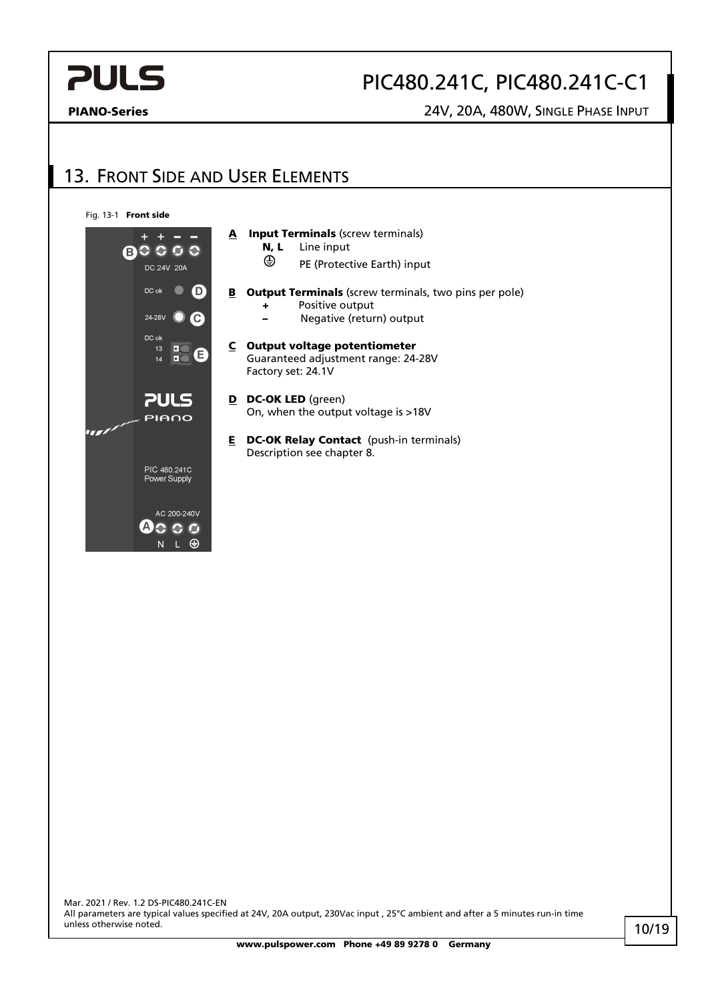## PIC480.241C, PIC480.241C-C1

PIANO-Series 24V, 20A, 480W, SINGLE PHASE INPUT

#### <span id="page-9-0"></span>13. FRONT SIDE AND USER ELEMENTS

Fig. 13-1 Front side

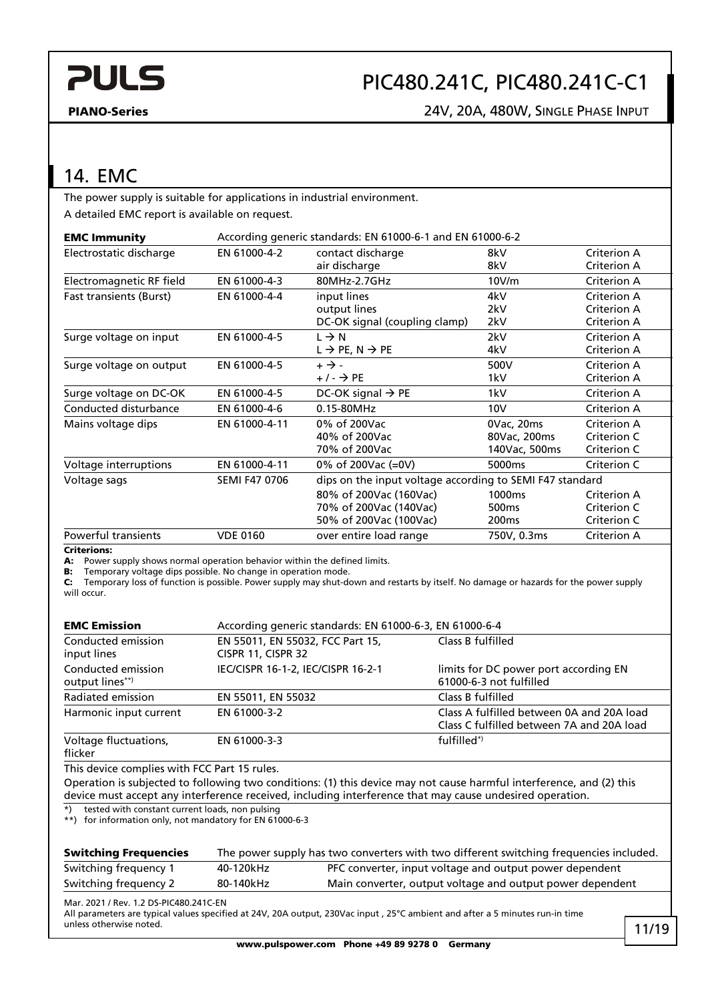PIANO-Series 24V, 20A, 480W, SINGLE PHASE INPUT

#### <span id="page-10-0"></span>14. EMC

The power supply is suitable for applications in industrial environment. A detailed EMC report is available on request.

| <b>EMC Immunity</b>            |                      | According generic standards: EN 61000-6-1 and EN 61000-6-2 |                    |             |  |
|--------------------------------|----------------------|------------------------------------------------------------|--------------------|-------------|--|
| Electrostatic discharge        | EN 61000-4-2         | contact discharge                                          | 8kV                | Criterion A |  |
|                                |                      | air discharge                                              | 8kV                | Criterion A |  |
| Electromagnetic RF field       | EN 61000-4-3         | 80MHz-2.7GHz                                               | 10V/m              | Criterion A |  |
| <b>Fast transients (Burst)</b> | EN 61000-4-4         | input lines                                                | 4kV                | Criterion A |  |
|                                |                      | output lines                                               | 2kV                | Criterion A |  |
|                                |                      | DC-OK signal (coupling clamp)                              | 2kV                | Criterion A |  |
| Surge voltage on input         | EN 61000-4-5         | $L \rightarrow N$                                          | 2kV                | Criterion A |  |
|                                |                      | $L \rightarrow$ PE, N $\rightarrow$ PE                     | 4kV                | Criterion A |  |
| Surge voltage on output        | EN 61000-4-5         | $+ \rightarrow -$                                          | 500V               | Criterion A |  |
|                                |                      | $+/ \rightarrow$ PE                                        | 1kV                | Criterion A |  |
| Surge voltage on DC-OK         | EN 61000-4-5         | DC-OK signal $\rightarrow$ PE                              | 1kV                | Criterion A |  |
| Conducted disturbance          | EN 61000-4-6         | 0.15-80MHz                                                 | 10V                | Criterion A |  |
| Mains voltage dips             | EN 61000-4-11        | 0% of 200Vac                                               | 0Vac, 20ms         | Criterion A |  |
|                                |                      | 40% of 200Vac                                              | 80Vac, 200ms       | Criterion C |  |
|                                |                      | 70% of 200Vac                                              | 140Vac, 500ms      | Criterion C |  |
| Voltage interruptions          | EN 61000-4-11        | 0% of 200Vac (=0V)                                         | 5000 <sub>ms</sub> | Criterion C |  |
| Voltage sags                   | <b>SEMI F47 0706</b> | dips on the input voltage according to SEMI F47 standard   |                    |             |  |
|                                |                      | 80% of 200Vac (160Vac)                                     | 1000 <sub>ms</sub> | Criterion A |  |
|                                |                      | 70% of 200Vac (140Vac)                                     | 500 <sub>ms</sub>  | Criterion C |  |
|                                |                      | 50% of 200Vac (100Vac)                                     | 200 <sub>ms</sub>  | Criterion C |  |
| Powerful transients            | <b>VDE 0160</b>      | over entire load range                                     | 750V, 0.3ms        | Criterion A |  |

Criterions:

A: Power supply shows normal operation behavior within the defined limits.

B: Temporary voltage dips possible. No change in operation mode.

C: Temporary loss of function is possible. Power supply may shut-down and restarts by itself. No damage or hazards for the power supply will occur.

| <b>EMC Emission</b>                                                                                                            | According generic standards: EN 61000-6-3, EN 61000-6-4 |  |                                                                                                                                                                                                                                  |       |
|--------------------------------------------------------------------------------------------------------------------------------|---------------------------------------------------------|--|----------------------------------------------------------------------------------------------------------------------------------------------------------------------------------------------------------------------------------|-------|
| Conducted emission<br>input lines                                                                                              | EN 55011, EN 55032, FCC Part 15,<br>CISPR 11, CISPR 32  |  | Class B fulfilled                                                                                                                                                                                                                |       |
| Conducted emission<br>output lines**)                                                                                          | IEC/CISPR 16-1-2, IEC/CISPR 16-2-1                      |  | limits for DC power port according EN<br>61000-6-3 not fulfilled                                                                                                                                                                 |       |
| Radiated emission                                                                                                              | EN 55011, EN 55032                                      |  | Class B fulfilled                                                                                                                                                                                                                |       |
| Harmonic input current                                                                                                         | EN 61000-3-2                                            |  | Class A fulfilled between 0A and 20A load<br>Class C fulfilled between 7A and 20A load                                                                                                                                           |       |
| Voltage fluctuations,<br>flicker                                                                                               | EN 61000-3-3                                            |  | fulfilled*)                                                                                                                                                                                                                      |       |
| This device complies with FCC Part 15 rules.                                                                                   |                                                         |  |                                                                                                                                                                                                                                  |       |
|                                                                                                                                |                                                         |  | Operation is subjected to following two conditions: (1) this device may not cause harmful interference, and (2) this<br>device must accept any interference received, including interference that may cause undesired operation. |       |
| tested with constant current loads, non pulsing<br>$^{\star}$<br>for information only, not mandatory for EN 61000-6-3<br>$***$ |                                                         |  |                                                                                                                                                                                                                                  |       |
| <b>Switching Frequencies</b>                                                                                                   |                                                         |  | The power supply has two converters with two different switching frequencies included.                                                                                                                                           |       |
| Switching frequency 1                                                                                                          | 40-120kHz                                               |  | PFC converter, input voltage and output power dependent                                                                                                                                                                          |       |
| Switching frequency 2                                                                                                          | 80-140kHz                                               |  | Main converter, output voltage and output power dependent                                                                                                                                                                        |       |
| Mar. 2021 / Rev. 1.2 DS-PIC480.241C-EN<br>unless otherwise noted.                                                              |                                                         |  | All parameters are typical values specified at 24V, 20A output, 230Vac input, 25°C ambient and after a 5 minutes run-in time                                                                                                     | 11/10 |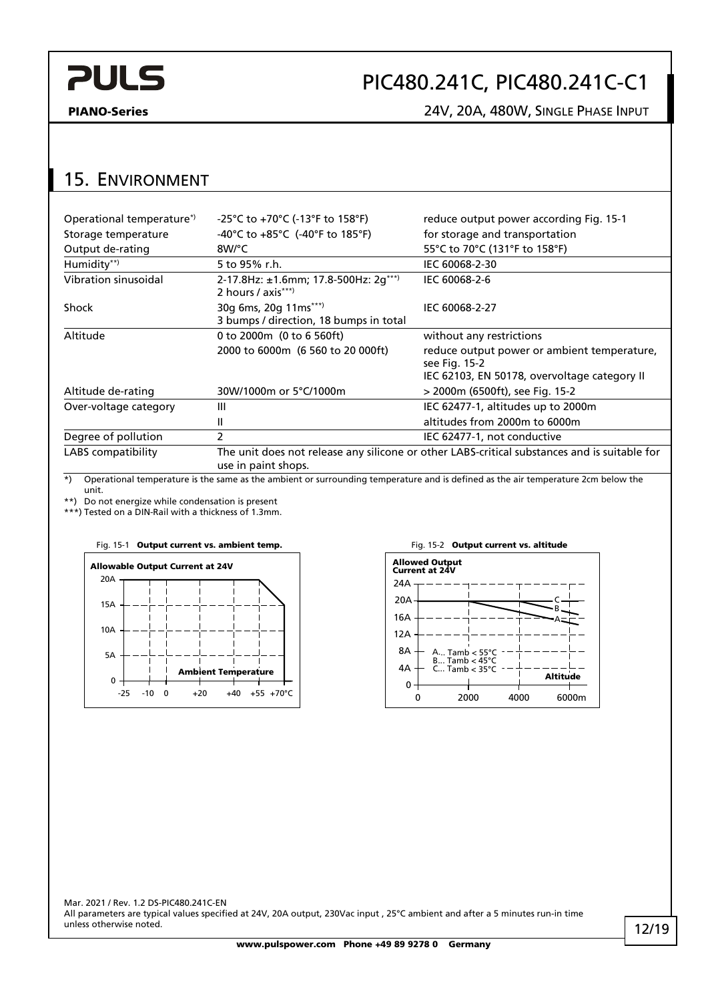## PIC480.241C, PIC480.241C-C1

PIANO-Series 24V, 20A, 480W, SINGLE PHASE INPUT

#### <span id="page-11-0"></span>15. ENVIRONMENT

| Operational temperature <sup>*)</sup> | -25°C to +70°C (-13°F to 158°F)                                 | reduce output power according Fig. 15-1                                                      |
|---------------------------------------|-----------------------------------------------------------------|----------------------------------------------------------------------------------------------|
| Storage temperature                   | -40°C to $+85$ °C (-40°F to 185°F)                              | for storage and transportation                                                               |
| Output de-rating                      | 8W/°C                                                           | 55°C to 70°C (131°F to 158°F)                                                                |
| Humidity**)                           | 5 to 95% r.h.                                                   | IEC 60068-2-30                                                                               |
| Vibration sinusoidal                  | 2-17.8Hz: ±1.6mm; 17.8-500Hz: 2g***)<br>2 hours / axis***)      | IEC 60068-2-6                                                                                |
| Shock                                 | 30g 6ms, 20g 11ms***)<br>3 bumps / direction, 18 bumps in total | IEC 60068-2-27                                                                               |
| Altitude                              | 0 to 2000m (0 to 6 560ft)                                       | without any restrictions                                                                     |
|                                       | 2000 to 6000m (6 560 to 20 000ft)                               | reduce output power or ambient temperature,<br>see Fig. 15-2                                 |
|                                       |                                                                 | IEC 62103, EN 50178, overvoltage category II                                                 |
| Altitude de-rating                    | 30W/1000m or 5°C/1000m                                          | > 2000m (6500ft), see Fig. 15-2                                                              |
| Over-voltage category                 | Ш                                                               | IEC 62477-1, altitudes up to 2000m                                                           |
|                                       | Ш                                                               | altitudes from 2000m to 6000m                                                                |
| Degree of pollution                   | 2                                                               | IEC 62477-1, not conductive                                                                  |
| LABS compatibility                    | use in paint shops.                                             | The unit does not release any silicone or other LABS-critical substances and is suitable for |
|                                       |                                                                 |                                                                                              |

\*) Operational temperature is the same as the ambient or surrounding temperature and is defined as the air temperature 2cm below the unit.

\*\*) Do not energize while condensation is present

\*\*\*) Tested on a DIN-Rail with a thickness of 1.3mm.

<span id="page-11-1"></span>



<span id="page-11-2"></span>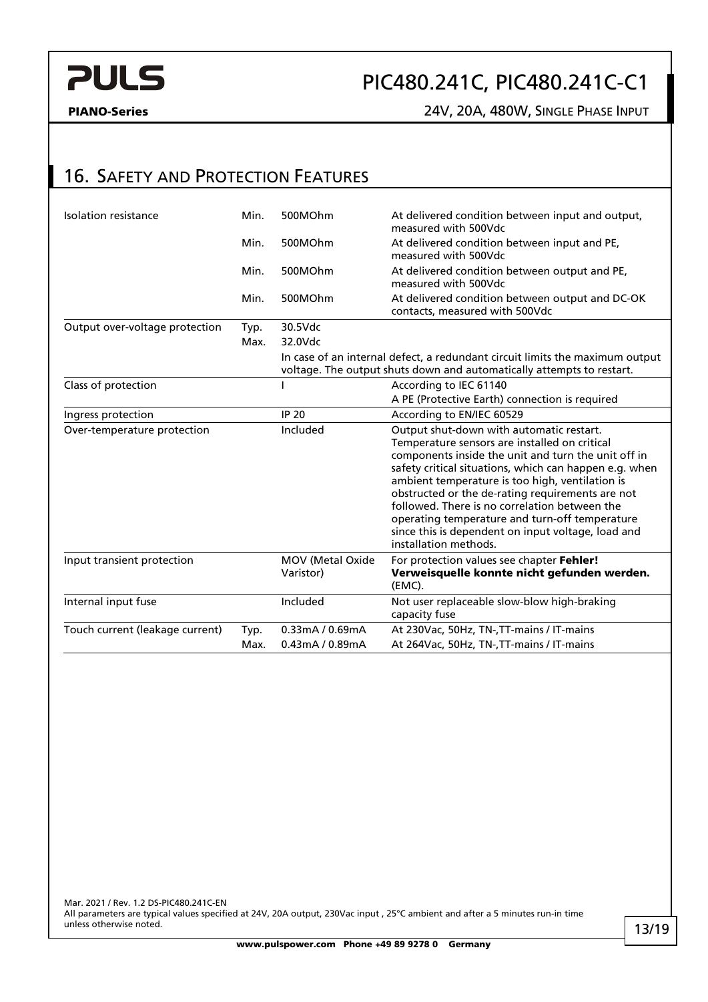

PIANO-Series 24V, 20A, 480W, SINGLE PHASE INPUT

#### <span id="page-12-0"></span>16. SAFETY AND PROTECTION FEATURES

| Isolation resistance            | Min. | 500MOhm                       | At delivered condition between input and output,<br>measured with 500Vdc                                                                                                                                                                                                                                                                                                                                                                                                                            |
|---------------------------------|------|-------------------------------|-----------------------------------------------------------------------------------------------------------------------------------------------------------------------------------------------------------------------------------------------------------------------------------------------------------------------------------------------------------------------------------------------------------------------------------------------------------------------------------------------------|
|                                 | Min. | 500MOhm                       | At delivered condition between input and PE,<br>measured with 500Vdc                                                                                                                                                                                                                                                                                                                                                                                                                                |
|                                 | Min. | 500MOhm                       | At delivered condition between output and PE,<br>measured with 500Vdc                                                                                                                                                                                                                                                                                                                                                                                                                               |
|                                 | Min. | 500MOhm                       | At delivered condition between output and DC-OK<br>contacts, measured with 500Vdc                                                                                                                                                                                                                                                                                                                                                                                                                   |
| Output over-voltage protection  | Typ. | 30.5Vdc                       |                                                                                                                                                                                                                                                                                                                                                                                                                                                                                                     |
|                                 | Max. | 32.0Vdc                       |                                                                                                                                                                                                                                                                                                                                                                                                                                                                                                     |
|                                 |      |                               | In case of an internal defect, a redundant circuit limits the maximum output<br>voltage. The output shuts down and automatically attempts to restart.                                                                                                                                                                                                                                                                                                                                               |
| Class of protection             |      |                               | According to IEC 61140                                                                                                                                                                                                                                                                                                                                                                                                                                                                              |
|                                 |      |                               | A PE (Protective Earth) connection is required                                                                                                                                                                                                                                                                                                                                                                                                                                                      |
| Ingress protection              |      | <b>IP 20</b>                  | According to EN/IEC 60529                                                                                                                                                                                                                                                                                                                                                                                                                                                                           |
| Over-temperature protection     |      | Included                      | Output shut-down with automatic restart.<br>Temperature sensors are installed on critical<br>components inside the unit and turn the unit off in<br>safety critical situations, which can happen e.g. when<br>ambient temperature is too high, ventilation is<br>obstructed or the de-rating requirements are not<br>followed. There is no correlation between the<br>operating temperature and turn-off temperature<br>since this is dependent on input voltage, load and<br>installation methods. |
| Input transient protection      |      | MOV (Metal Oxide<br>Varistor) | For protection values see chapter Fehler!<br>Verweisquelle konnte nicht gefunden werden.<br>$(EMC)$ .                                                                                                                                                                                                                                                                                                                                                                                               |
| Internal input fuse             |      | Included                      | Not user replaceable slow-blow high-braking<br>capacity fuse                                                                                                                                                                                                                                                                                                                                                                                                                                        |
| Touch current (leakage current) | Typ. | 0.33mA / 0.69mA               | At 230Vac, 50Hz, TN-, TT-mains / IT-mains                                                                                                                                                                                                                                                                                                                                                                                                                                                           |
|                                 | Max. | 0.43mA / 0.89mA               | At 264Vac, 50Hz, TN-, TT-mains / IT-mains                                                                                                                                                                                                                                                                                                                                                                                                                                                           |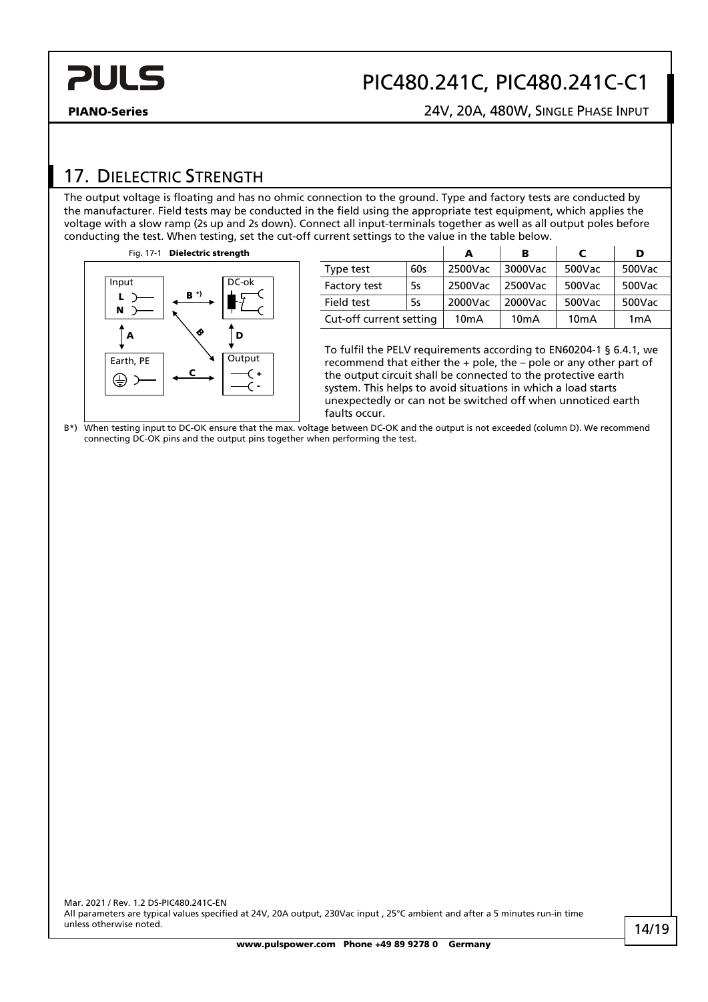

PIANO-Series 24V, 20A, 480W, SINGLE PHASE INPUT

### <span id="page-13-0"></span>17. DIELECTRIC STRENGTH

The output voltage is floating and has no ohmic connection to the ground. Type and factory tests are conducted by the manufacturer. Field tests may be conducted in the field using the appropriate test equipment, which applies the voltage with a slow ramp (2s up and 2s down). Connect all input-terminals together as well as all output poles before conducting the test. When testing, set the cut-off current settings to the value in the table below.



|                         |     | А                 | в                 | C                 | D                |
|-------------------------|-----|-------------------|-------------------|-------------------|------------------|
| Type test               | 60s | 2500Vac           | 3000Vac           | 500Vac            | 500Vac           |
| Factory test            | 5s  | 2500Vac           | 2500Vac           | 500Vac            | 500Vac           |
| Field test              | 5s  | 2000Vac           | 2000Vac           | 500Vac            | 500Vac           |
| Cut-off current setting |     | 10 <sub>m</sub> A | 10 <sub>m</sub> A | 10 <sub>m</sub> A | 1 <sub>m</sub> A |

To fulfil the PELV requirements according to EN60204-1 § 6.4.1, we recommend that either the + pole, the – pole or any other part of the output circuit shall be connected to the protective earth system. This helps to avoid situations in which a load starts unexpectedly or can not be switched off when unnoticed earth faults occur.

B\*) When testing input to DC-OK ensure that the max. voltage between DC-OK and the output is not exceeded (column D). We recommend connecting DC-OK pins and the output pins together when performing the test.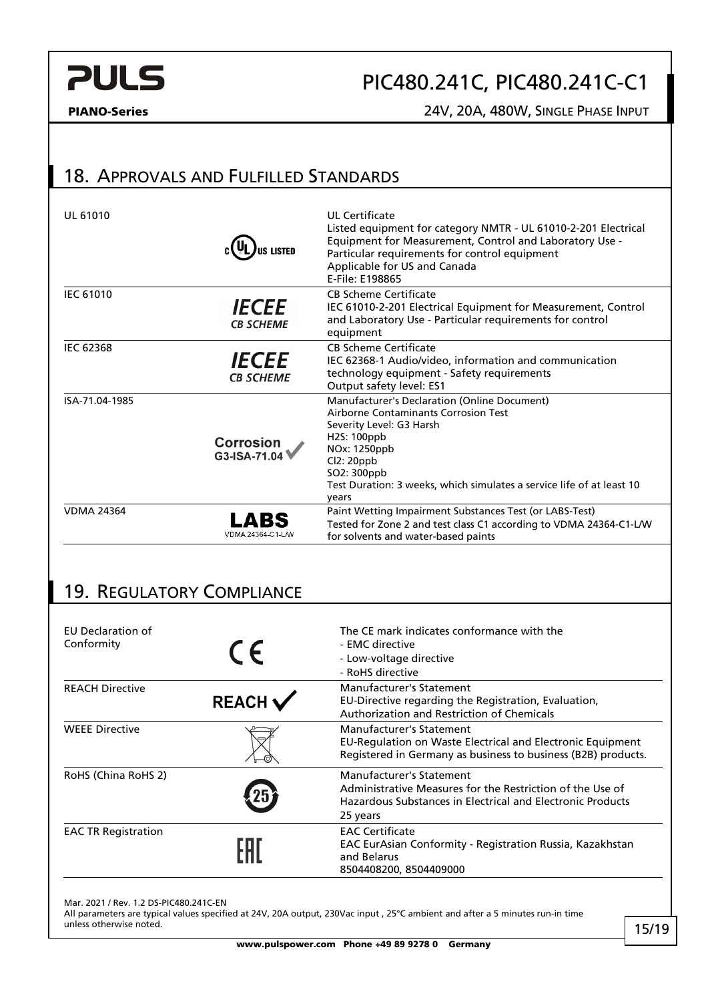### PIC480.241C, PIC480.241C-C1

#### PIANO-Series 24V, 20A, 480W, SINGLE PHASE INPUT

#### <span id="page-14-0"></span>18. APPROVALS AND FULFILLED STANDARDS

| UL 61010          |                                         | <b>UL</b> Certificate<br>Listed equipment for category NMTR - UL 61010-2-201 Electrical<br>Equipment for Measurement, Control and Laboratory Use -<br>Particular requirements for control equipment<br>Applicable for US and Canada<br><b>E-File: E198865</b>              |
|-------------------|-----------------------------------------|----------------------------------------------------------------------------------------------------------------------------------------------------------------------------------------------------------------------------------------------------------------------------|
| <b>IEC 61010</b>  | <i><b>IECEE</b></i><br><b>CB SCHEME</b> | <b>CB Scheme Certificate</b><br>IEC 61010-2-201 Electrical Equipment for Measurement, Control<br>and Laboratory Use - Particular requirements for control<br>equipment                                                                                                     |
| <b>IEC 62368</b>  | <b>IECEE</b><br><b>CB SCHEME</b>        | <b>CB Scheme Certificate</b><br>IEC 62368-1 Audio/video, information and communication<br>technology equipment - Safety requirements<br>Output safety level: ES1                                                                                                           |
| ISA-71.04-1985    | Corrosion<br>G3-ISA-71.04               | Manufacturer's Declaration (Online Document)<br>Airborne Contaminants Corrosion Test<br>Severity Level: G3 Harsh<br>H <sub>2</sub> S: 100ppb<br>NOx: 1250ppb<br>Cl2:20ppb<br>SO2: 300ppb<br>Test Duration: 3 weeks, which simulates a service life of at least 10<br>years |
| <b>VDMA 24364</b> | VDMA 24364-C1-L/W                       | Paint Wetting Impairment Substances Test (or LABS-Test)<br>Tested for Zone 2 and test class C1 according to VDMA 24364-C1-L/W<br>for solvents and water-based paints                                                                                                       |

#### <span id="page-14-1"></span>19. REGULATORY COMPLIANCE

| EU Declaration of<br>Conformity | CE      | The CE mark indicates conformance with the<br>- EMC directive<br>- Low-voltage directive<br>- RoHS directive                                                    |
|---------------------------------|---------|-----------------------------------------------------------------------------------------------------------------------------------------------------------------|
| <b>REACH Directive</b>          | REACH V | Manufacturer's Statement<br>EU-Directive regarding the Registration, Evaluation,<br>Authorization and Restriction of Chemicals                                  |
| <b>WEEE Directive</b>           |         | Manufacturer's Statement<br>EU-Regulation on Waste Electrical and Electronic Equipment<br>Registered in Germany as business to business (B2B) products.         |
| RoHS (China RoHS 2)             |         | Manufacturer's Statement<br>Administrative Measures for the Restriction of the Use of<br>Hazardous Substances in Electrical and Electronic Products<br>25 years |
| <b>EAC TR Registration</b>      |         | <b>EAC Certificate</b><br>EAC EurAsian Conformity - Registration Russia, Kazakhstan<br>and Belarus<br>8504408200, 8504409000                                    |

Mar. 2021 / Rev. 1.2 DS-PIC480.241C-EN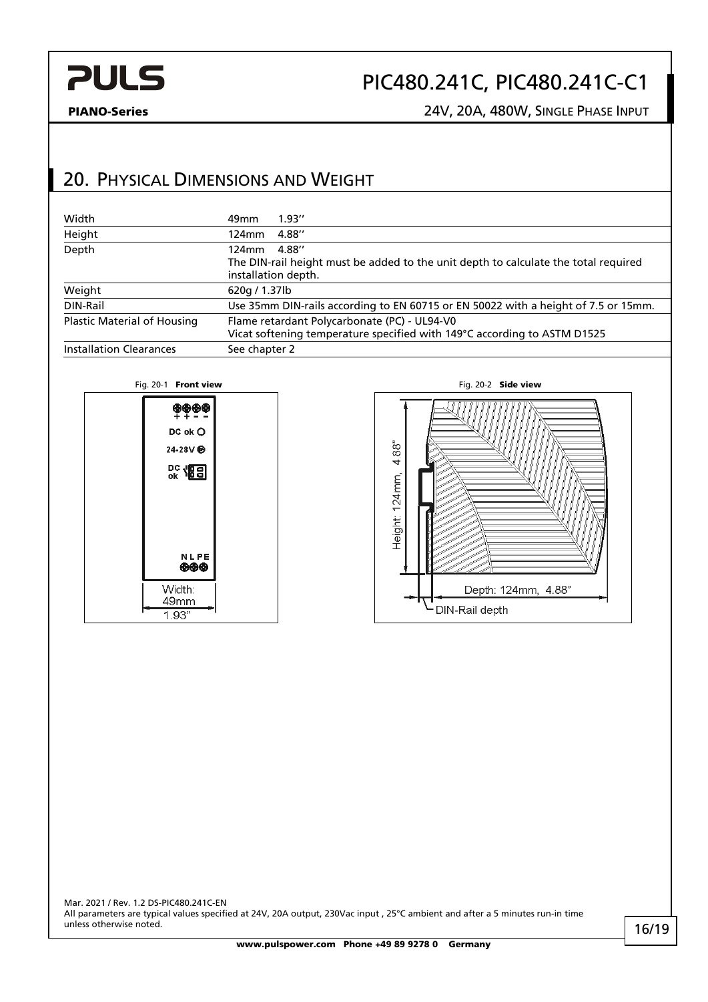## PIC480.241C, PIC480.241C-C1

PIANO-Series 24V, 20A, 480W, SINGLE PHASE INPUT

#### <span id="page-15-0"></span>20. PHYSICAL DIMENSIONS AND WEIGHT

| Width                              | 1.93''<br>49 <sub>mm</sub>                                                                                               |  |
|------------------------------------|--------------------------------------------------------------------------------------------------------------------------|--|
| Height                             | 4.88"<br>124mm                                                                                                           |  |
| Depth                              | 4.88"<br>124mm                                                                                                           |  |
|                                    | The DIN-rail height must be added to the unit depth to calculate the total required<br>installation depth.               |  |
| Weight                             | 620g / 1.37lb                                                                                                            |  |
| DIN-Rail                           | Use 35mm DIN-rails according to EN 60715 or EN 50022 with a height of 7.5 or 15mm.                                       |  |
| <b>Plastic Material of Housing</b> | Flame retardant Polycarbonate (PC) - UL94-V0<br>Vicat softening temperature specified with 149°C according to ASTM D1525 |  |
| <b>Installation Clearances</b>     | See chapter 2                                                                                                            |  |



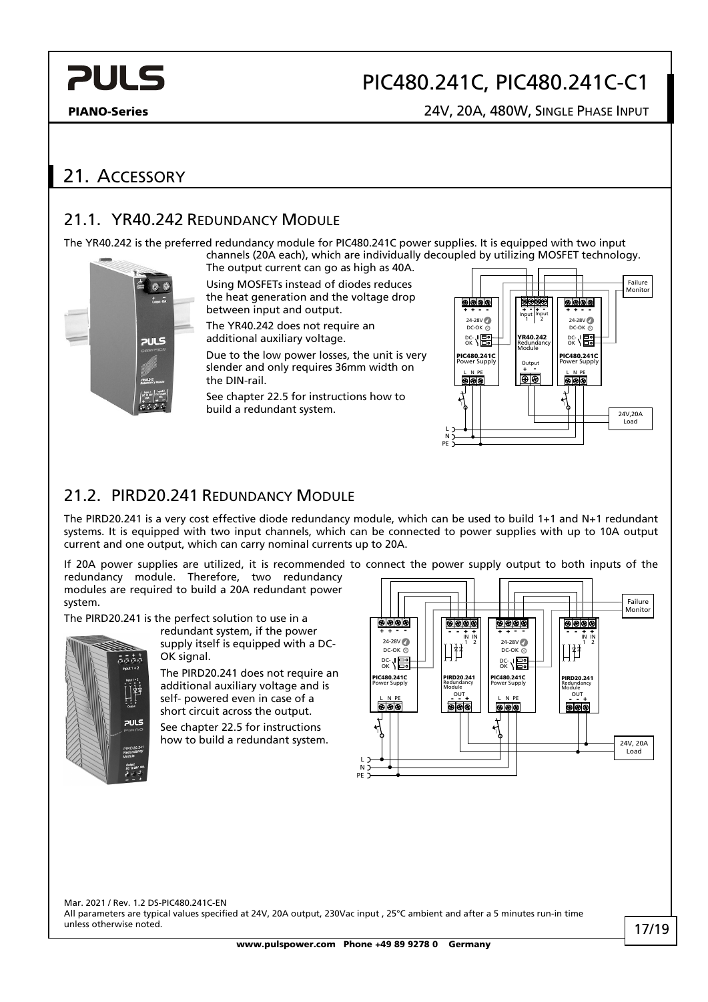## PIC480.241C, PIC480.241C-C1

PIANO-Series 24V, 20A, 480W, SINGLE PHASE INPUT

### <span id="page-16-0"></span>21. ACCESSORY

#### <span id="page-16-1"></span>21.1. YR40.242 REDUNDANCY MODULE

The YR40.242 is the preferred redundancy module for PIC480.241C power supplies. It is equipped with two input channels (20A each), which are individually decoupled by utilizing MOSFET technology.



The output current can go as high as 40A. Using MOSFETs instead of diodes reduces the heat generation and the voltage drop

between input and output. The YR40.242 does not require an

additional auxiliary voltage.

Due to the low power losses, the unit is very slender and only requires 36mm width on the DIN-rail.

See chapter [22.5](#page-17-4) for instructions how to build a redundant system.



#### <span id="page-16-2"></span>21.2. PIRD20.241 REDUNDANCY MODULE

The PIRD20.241 is a very cost effective diode redundancy module, which can be used to build 1+1 and N+1 redundant systems. It is equipped with two input channels, which can be connected to power supplies with up to 10A output current and one output, which can carry nominal currents up to 20A.

If 20A power supplies are utilized, it is recommended to connect the power supply output to both inputs of the redundancy module. Therefore, two redundancy modules are required to build a 20A redundant power system.

The PIRD20.241 is the perfect solution to use in a



redundant system, if the power supply itself is equipped with a DC-OK signal.

The PIRD20.241 does not require an additional auxiliary voltage and is self- powered even in case of a short circuit across the output. See chapter [22.5](#page-17-4) for instructions

how to build a redundant system.

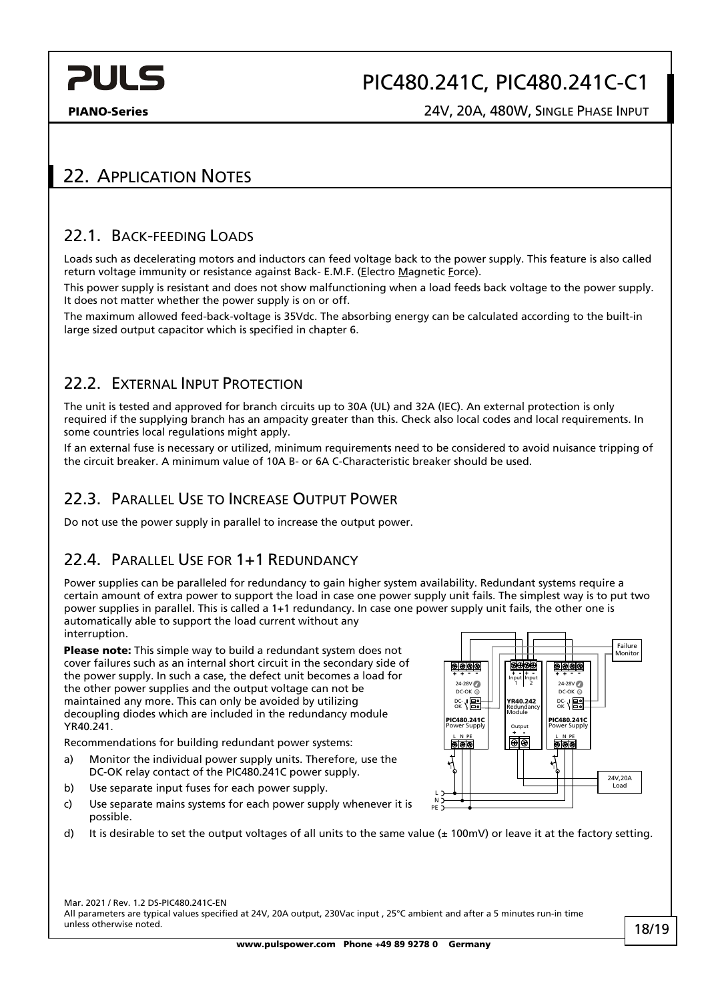## PIC480.241C, PIC480.241C-C1

PIANO-Series 24V, 20A, 480W, SINGLE PHASE INPUT

#### <span id="page-17-0"></span>22. APPLICATION NOTES

#### <span id="page-17-1"></span>22.1. BACK-FEEDING LOADS

Loads such as decelerating motors and inductors can feed voltage back to the power supply. This feature is also called return voltage immunity or resistance against Back- E.M.F. (Electro Magnetic Force).

This power supply is resistant and does not show malfunctioning when a load feeds back voltage to the power supply. It does not matter whether the power supply is on or off.

The maximum allowed feed-back-voltage is 35Vdc. The absorbing energy can be calculated according to the built-in large sized output capacitor which is specified in chapter [6.](#page-5-0)

#### <span id="page-17-2"></span>22.2. EXTERNAL INPUT PROTECTION

The unit is tested and approved for branch circuits up to 30A (UL) and 32A (IEC). An external protection is only required if the supplying branch has an ampacity greater than this. Check also local codes and local requirements. In some countries local regulations might apply.

If an external fuse is necessary or utilized, minimum requirements need to be considered to avoid nuisance tripping of the circuit breaker. A minimum value of 10A B- or 6A C-Characteristic breaker should be used.

#### <span id="page-17-3"></span>22.3. PARALLEL USE TO INCREASE OUTPUT POWER

<span id="page-17-4"></span>Do not use the power supply in parallel to increase the output power.

#### 22.4. PARALLEL USE FOR 1+1 REDUNDANCY

Power supplies can be paralleled for redundancy to gain higher system availability. Redundant systems require a certain amount of extra power to support the load in case one power supply unit fails. The simplest way is to put two power supplies in parallel. This is called a 1+1 redundancy. In case one power supply unit fails, the other one is automatically able to support the load current without any interruption.

Please note: This simple way to build a redundant system does not cover failures such as an internal short circuit in the secondary side of the power supply. In such a case, the defect unit becomes a load for the other power supplies and the output voltage can not be maintained any more. This can only be avoided by utilizing decoupling diodes which are included in the redundancy module YR40.241.

Recommendations for building redundant power systems:

- a) Monitor the individual power supply units. Therefore, use the DC-OK relay contact of the PIC480.241C power supply.
- b) Use separate input fuses for each power supply.
- c) Use separate mains systems for each power supply whenever it is possible.
- d) It is desirable to set the output voltages of all units to the same value ( $\pm$  100mV) or leave it at the factory setting.

PE